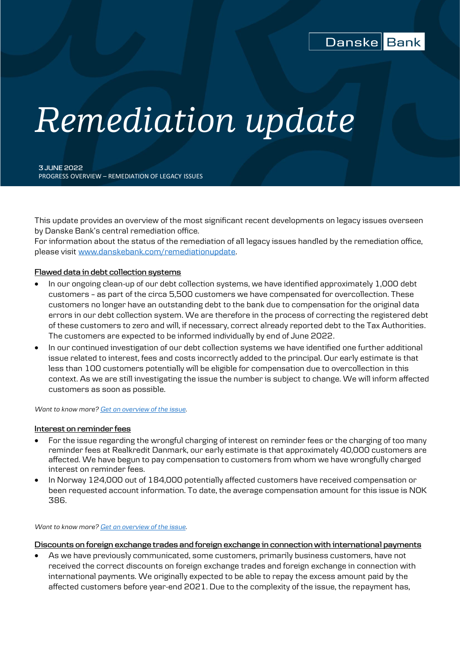

# *Remediation update*

**3 JUNE 2022** PROGRESS OVERVIEW – REMEDIATION OF LEGACY ISSUES

This update provides an overview of the most significant recent developments on legacy issues overseen by Danske Bank's central remediation office.

For information about the status of the remediation of all legacy issues handled by the remediation office, please visit [www.danskebank.com/remediationupdate.](http://www.danskebank.com/remediationupdate)

### **Flawed data in debt collection systems**

- In our ongoing clean-up of our debt collection systems, we have identified approximately 1,000 debt customers – as part of the circa 5,500 customers we have compensated for overcollection. These customers no longer have an outstanding debt to the bank due to compensation for the original data errors in our debt collection system. We are therefore in the process of correcting the registered debt of these customers to zero and will, if necessary, correct already reported debt to the Tax Authorities. The customers are expected to be informed individually by end of June 2022.
- In our continued investigation of our debt collection systems we have identified one further additional issue related to interest, fees and costs incorrectly added to the principal. Our early estimate is that less than 100 customers potentially will be eligible for compensation due to overcollection in this context. As we are still investigating the issue the number is subject to change. We will inform affected customers as soon as possible.

*Want to know more? [Get an overview of the issue.](https://danskebank.com/about-us/corporate-governance/remediating-legacy-issues/debt-collection)*

#### **Interest on reminder fees**

- For the issue regarding the wrongful charging of interest on reminder fees or the charging of too many reminder fees at Realkredit Danmark, our early estimate is that approximately 40,000 customers are affected. We have begun to pay compensation to customers from whom we have wrongfully charged interest on reminder fees.
- In Norway 124,000 out of 184,000 potentially affected customers have received compensation or been requested account information. To date, the average compensation amount for this issue is NOK 386.

#### *Want to know more? [Get an overview of the issue.](https://danskebank.com/about-us/corporate-governance/remediating-legacy-issues/interest-on-dunning-fees)*

**Discounts on foreign exchange trades and foreign exchange in connection with international payments**

 As we have previously communicated, some customers, primarily business customers, have not received the correct discounts on foreign exchange trades and foreign exchange in connection with international payments. We originally expected to be able to repay the excess amount paid by the affected customers before year-end 2021. Due to the complexity of the issue, the repayment has,